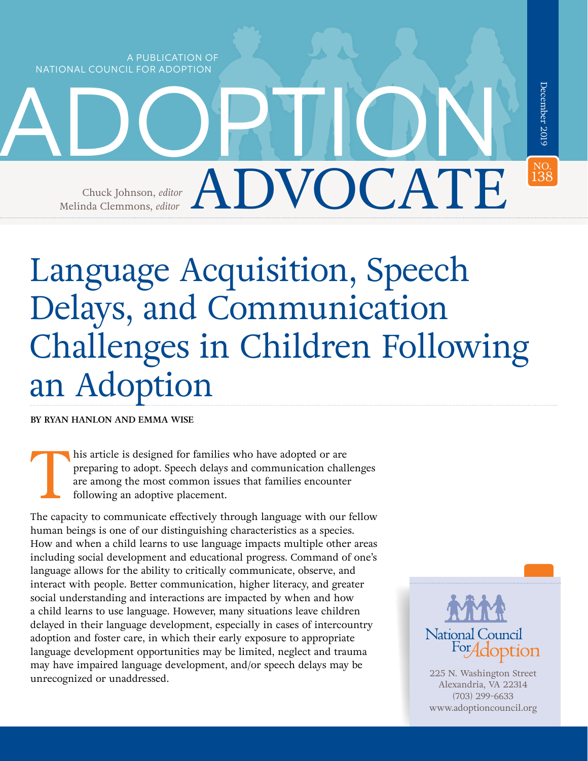A PUBLICATION OF NATIONAL COUNCIL FOR ADOPTION

> Chuck Johnson, *editor* Melinda Clemmons, *editor*

# Language Acquisition, Speech Delays, and Communication Challenges in Children Following an Adoption

ADOPTION

ADVOCATE

**BY RYAN HANLON AND EMMA WISE**

The control his article is designed for families who have adopted or are preparing to adopt. Speech delays and communication challenges are among the most common issues that families encounter following an adoptive placement.

The capacity to communicate effectively through language with our fellow human beings is one of our distinguishing characteristics as a species. How and when a child learns to use language impacts multiple other areas including social development and educational progress. Command of one's language allows for the ability to critically communicate, observe, and interact with people. Better communication, higher literacy, and greater social understanding and interactions are impacted by when and how a child learns to use language. However, many situations leave children delayed in their language development, especially in cases of intercountry adoption and foster care, in which their early exposure to appropriate language development opportunities may be limited, neglect and trauma may have impaired language development, and/or speech delays may be unrecognized or unaddressed.

National Council

NO.<br>138

December 2019

225 N. Washington Street Alexandria, VA 22314 (703) 299-6633 [www.adoptioncouncil.org](http://www.adoptioncouncil.org )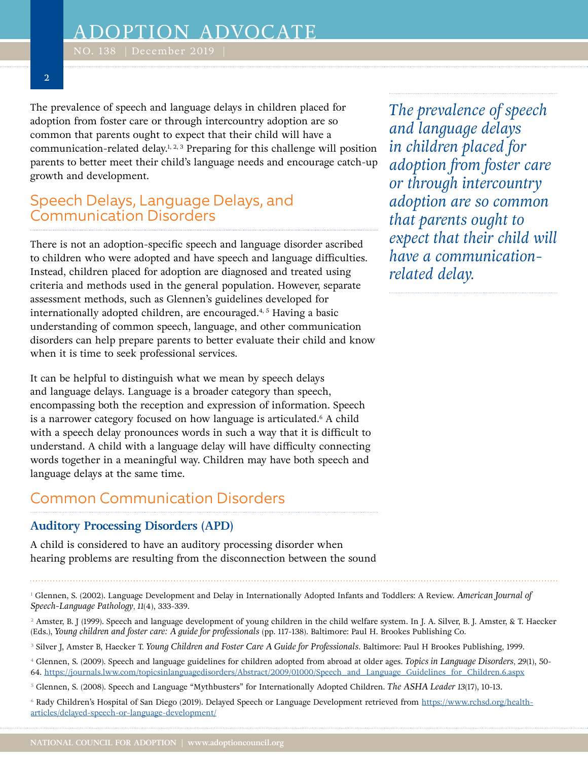The prevalence of speech and language delays in children placed for adoption from foster care or through intercountry adoption are so common that parents ought to expect that their child will have a communication-related delay.<sup>1, 2, 3</sup> Preparing for this challenge will position parents to better meet their child's language needs and encourage catch-up growth and development.

# Speech Delays, Language Delays, and Communication Disorders

There is not an adoption-specific speech and language disorder ascribed to children who were adopted and have speech and language difficulties. Instead, children placed for adoption are diagnosed and treated using criteria and methods used in the general population. However, separate assessment methods, such as Glennen's guidelines developed for internationally adopted children, are encouraged. $4,5$  Having a basic understanding of common speech, language, and other communication disorders can help prepare parents to better evaluate their child and know when it is time to seek professional services.

It can be helpful to distinguish what we mean by speech delays and language delays. Language is a broader category than speech, encompassing both the reception and expression of information. Speech is a narrower category focused on how language is articulated.<sup>6</sup> A child with a speech delay pronounces words in such a way that it is difficult to understand. A child with a language delay will have difficulty connecting words together in a meaningful way. Children may have both speech and language delays at the same time.

# Common Communication Disorders

## **Auditory Processing Disorders (APD)**

A child is considered to have an auditory processing disorder when hearing problems are resulting from the disconnection between the sound *The prevalence of speech and language delays in children placed for adoption from foster care or through intercountry adoption are so common that parents ought to expect that their child will have a communicationrelated delay.*

<sup>1</sup> Glennen, S. (2002). Language Development and Delay in Internationally Adopted Infants and Toddlers: A Review. *American Journal of Speech-Language Pathology, 11*(4), 333-339.

2 Amster, B. J (1999). Speech and language development of young children in the child welfare system. In J. A. Silver, B. J. Amster, & T. Haecker (Eds.), *Young children and foster care: A guide for professionals* (pp. 117-138). Baltimore: Paul H. Brookes Publishing Co.

<sup>3</sup> Silver J, Amster B, Haecker T. *Young Children and Foster Care A Guide for Professionals*. Baltimore: Paul H Brookes Publishing, 1999.

- 4 Glennen, S. (2009). Speech and language guidelines for children adopted from abroad at older ages. *Topics in Language Disorders, 29*(1), 50- 64. [https://journals.lww.com/topicsinlanguagedisorders/Abstract/2009/01000/Speech\\_and\\_Language\\_Guidelines\\_for\\_Children.6.aspx](https://journals.lww.com/topicsinlanguagedisorders/Abstract/2009/01000/Speech_and_Language_Guidelines_for_Children.6.aspx)
- 5 Glennen, S. (2008). Speech and Language "Mythbusters" for Internationally Adopted Children. *The ASHA Leader 13*(17), 10-13.

6 Rady Children's Hospital of San Diego (2019). Delayed Speech or Language Development retrieved from [https://www.rchsd.org/health](https://www.rchsd.org/health-articles/delayed-speech-or-language-development/)[articles/delayed-speech-or-language-development/](https://www.rchsd.org/health-articles/delayed-speech-or-language-development/)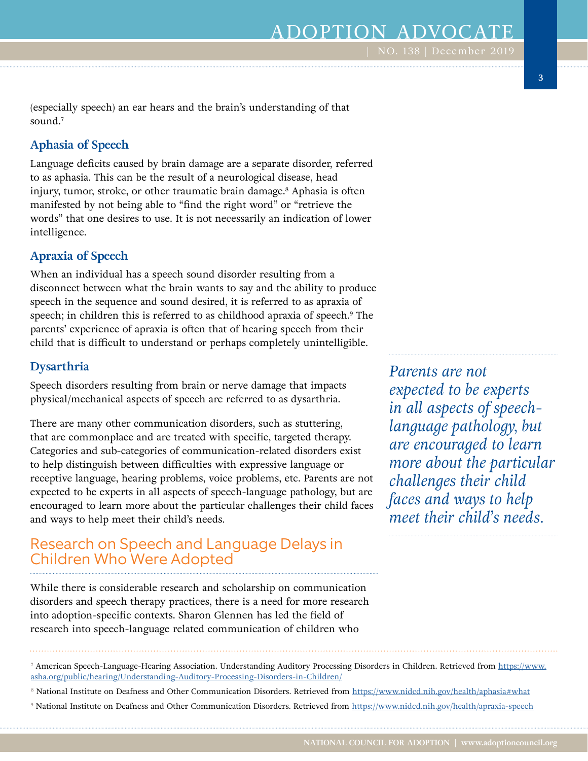(especially speech) an ear hears and the brain's understanding of that sound.<sup>7</sup>

## **Aphasia of Speech**

Language deficits caused by brain damage are a separate disorder, referred to as aphasia. This can be the result of a neurological disease, head injury, tumor, stroke, or other traumatic brain damage.<sup>8</sup> Aphasia is often manifested by not being able to "find the right word" or "retrieve the words" that one desires to use. It is not necessarily an indication of lower intelligence.

## **Apraxia of Speech**

When an individual has a speech sound disorder resulting from a disconnect between what the brain wants to say and the ability to produce speech in the sequence and sound desired, it is referred to as apraxia of speech; in children this is referred to as childhood apraxia of speech.<sup>9</sup> The parents' experience of apraxia is often that of hearing speech from their child that is difficult to understand or perhaps completely unintelligible.

#### **Dysarthria**

Speech disorders resulting from brain or nerve damage that impacts physical/mechanical aspects of speech are referred to as dysarthria.

There are many other communication disorders, such as stuttering, that are commonplace and are treated with specific, targeted therapy. Categories and sub-categories of communication-related disorders exist to help distinguish between difficulties with expressive language or receptive language, hearing problems, voice problems, etc. Parents are not expected to be experts in all aspects of speech-language pathology, but are encouraged to learn more about the particular challenges their child faces and ways to help meet their child's needs.

## Research on Speech and Language Delays in Children Who Were Adopted

While there is considerable research and scholarship on communication disorders and speech therapy practices, there is a need for more research into adoption-specific contexts. Sharon Glennen has led the field of research into speech-language related communication of children who

*Parents are not expected to be experts in all aspects of speechlanguage pathology, but are encouraged to learn more about the particular challenges their child faces and ways to help meet their child's needs.*



<sup>&</sup>lt;sup>7</sup> American Speech-Language-Hearing Association. Understanding Auditory Processing Disorders in Children. Retrieved from <u>https://www.</u> [asha.org/public/hearing/Understanding-Auditory-Processing-Disorders-in-Children/](https://www.asha.org/public/hearing/Understanding-Auditory-Processing-Disorders-in-Children/)

 $^8$  National Institute on Deafness and Other Communication Disorders. Retrieved from  $\frac{https://www.nidcd.nih.gov/health/aphasia#what}{https://www.nidcd.nih.gov/health/aphasia#what}$  $\frac{https://www.nidcd.nih.gov/health/aphasia#what}{https://www.nidcd.nih.gov/health/aphasia#what}$  $\frac{https://www.nidcd.nih.gov/health/aphasia#what}{https://www.nidcd.nih.gov/health/aphasia#what}$ 

<sup>9</sup> National Institute on Deafness and Other Communication Disorders. Retrieved from <https://www.nidcd.nih.gov/health/apraxia-speech>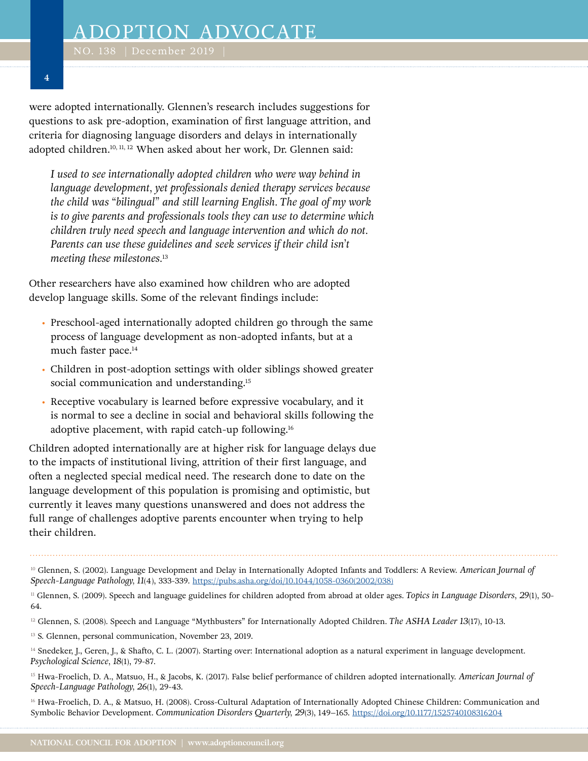were adopted internationally. Glennen's research includes suggestions for questions to ask pre-adoption, examination of first language attrition, and criteria for diagnosing language disorders and delays in internationally adopted children.10, 11, 12 When asked about her work, Dr. Glennen said:

*I used to see internationally adopted children who were way behind in language development, yet professionals denied therapy services because the child was "bilingual" and still learning English. The goal of my work is to give parents and professionals tools they can use to determine which children truly need speech and language intervention and which do not. Parents can use these guidelines and seek services if their child isn't meeting these milestones.*<sup>13</sup>

Other researchers have also examined how children who are adopted develop language skills. Some of the relevant findings include:

- Preschool-aged internationally adopted children go through the same process of language development as non-adopted infants, but at a much faster pace.<sup>14</sup>
- Children in post-adoption settings with older siblings showed greater social communication and understanding.<sup>15</sup>
- Receptive vocabulary is learned before expressive vocabulary, and it is normal to see a decline in social and behavioral skills following the adoptive placement, with rapid catch-up following.<sup>16</sup>

Children adopted internationally are at higher risk for language delays due to the impacts of institutional living, attrition of their first language, and often a neglected special medical need. The research done to date on the language development of this population is promising and optimistic, but currently it leaves many questions unanswered and does not address the full range of challenges adoptive parents encounter when trying to help their children.

<sup>10</sup> Glennen, S. (2002). Language Development and Delay in Internationally Adopted Infants and Toddlers: A Review. *American Journal of Speech-Language Pathology, 11*(4), 333-339. [https://pubs.asha.org/doi/10.1044/1058-0360\(2002/038\)](https://pubs.asha.org/doi/10.1044/1058-0360(2002/038))

<sup>11</sup> Glennen, S. (2009). Speech and language guidelines for children adopted from abroad at older ages. *Topics in Language Disorders*, 29(1), 50-64.

<sup>12</sup> Glennen, S. (2008). Speech and Language "Mythbusters" for Internationally Adopted Children. *The ASHA Leader 13*(17), 10-13.

<sup>13</sup> S. Glennen, personal communication, November 23, 2019.

<sup>14</sup> Snedeker, J., Geren, J., & Shafto, C. L. (2007). Starting over: International adoption as a natural experiment in language development. *Psychological Science, 18*(1), 79-87.

<sup>15</sup> Hwa-Froelich, D. A., Matsuo, H., & Jacobs, K. (2017). False belief performance of children adopted internationally. *American Journal of Speech-Language Pathology, 26*(1), 29-43.

16 Hwa-Froelich, D. A., & Matsuo, H. (2008). Cross-Cultural Adaptation of Internationally Adopted Chinese Children: Communication and Symbolic Behavior Development. *Communication Disorders Quarterly, 29*(3), 149–165. <https://doi.org/10.1177/1525740108316204>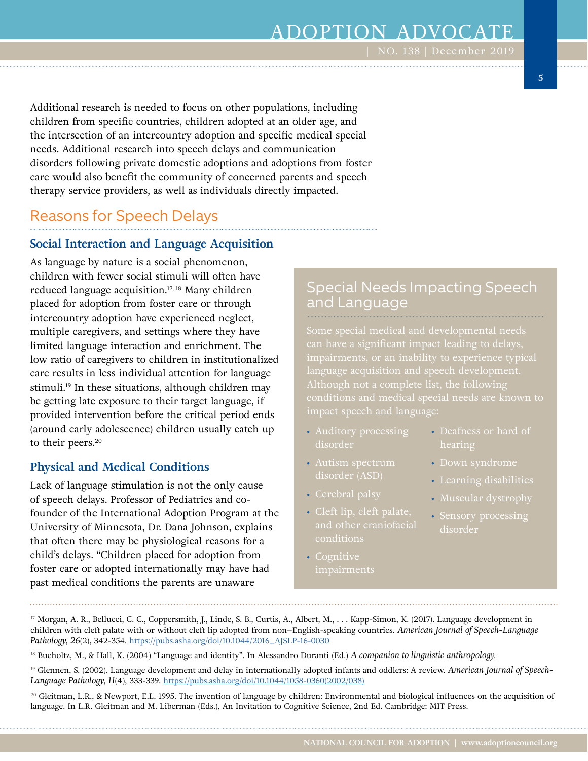# ADOPTION ADVOCATE

**5**

Additional research is needed to focus on other populations, including children from specific countries, children adopted at an older age, and the intersection of an intercountry adoption and specific medical special needs. Additional research into speech delays and communication disorders following private domestic adoptions and adoptions from foster care would also benefit the community of concerned parents and speech therapy service providers, as well as individuals directly impacted.

## Reasons for Speech Delays

## **Social Interaction and Language Acquisition**

As language by nature is a social phenomenon, children with fewer social stimuli will often have reduced language acquisition.<sup>17, 18</sup> Many children placed for adoption from foster care or through intercountry adoption have experienced neglect, multiple caregivers, and settings where they have limited language interaction and enrichment. The low ratio of caregivers to children in institutionalized care results in less individual attention for language stimuli.<sup>19</sup> In these situations, although children may be getting late exposure to their target language, if provided intervention before the critical period ends (around early adolescence) children usually catch up to their peers.<sup>20</sup>

#### **Physical and Medical Conditions**

Lack of language stimulation is not the only cause of speech delays. Professor of Pediatrics and cofounder of the International Adoption Program at the University of Minnesota, Dr. Dana Johnson, explains that often there may be physiological reasons for a child's delays. "Children placed for adoption from foster care or adopted internationally may have had past medical conditions the parents are unaware

## Special Needs Impacting Speech and Language

conditions and medical special needs are known to

- Auditory processing disorder
- Autism spectrum
- Cerebral palsy
- Cleft lip, cleft palate, and other craniofacial conditions
- Cognitive
- Deafness or hard of hearing
- Down syndrome
- Learning disabilities
- Muscular dystrophy
- Sensory processing disorder

<sup>&</sup>lt;sup>17</sup> Morgan, A. R., Bellucci, C. C., Coppersmith, J., Linde, S. B., Curtis, A., Albert, M., . . . Kapp-Simon, K. (2017). Language development in children with cleft palate with or without cleft lip adopted from non–English-speaking countries. *American Journal of Speech-Language Pathology, 26*(2), 342-354. [https://pubs.asha.org/doi/10.1044/2016\\_AJSLP-16-0030](https://pubs.asha.org/doi/10.1044/2016_AJSLP-16-0030)

<sup>18</sup> Bucholtz, M., & Hall, K. (2004) "Language and identity". In Alessandro Duranti (Ed.) *A companion to linguistic anthropology.*

<sup>19</sup> Glennen, S. (2002). Language development and delay in internationally adopted infants and oddlers: A review. *American Journal of Speech-Language Pathology, 11*(4), 333-339. [https://pubs.asha.org/doi/10.1044/1058-0360\(2002/038\)](https://pubs.asha.org/doi/10.1044/1058-0360(2002/038))

<sup>&</sup>lt;sup>20</sup> Gleitman, L.R., & Newport, E.L. 1995. The invention of language by children: Environmental and biological influences on the acquisition of language. In L.R. Gleitman and M. Liberman (Eds.), An Invitation to Cognitive Science, 2nd Ed. Cambridge: MIT Press.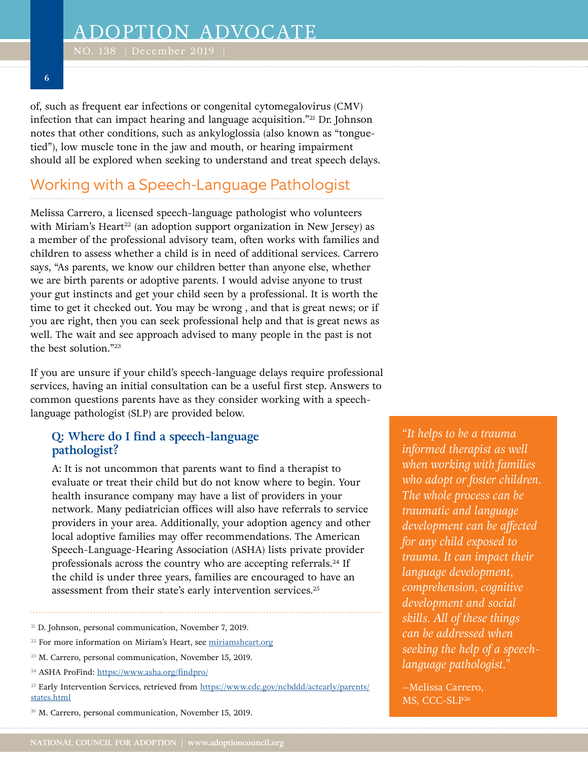of, such as frequent ear infections or congenital cytomegalovirus (CMV) infection that can impact hearing and language acquisition."<sup>21</sup> Dr. Johnson notes that other conditions, such as ankyloglossia (also known as "tonguetied"), low muscle tone in the jaw and mouth, or hearing impairment should all be explored when seeking to understand and treat speech delays.

# Working with a Speech-Language Pathologist

Melissa Carrero, a licensed speech-language pathologist who volunteers with Miriam's Heart<sup>22</sup> (an adoption support organization in New Jersey) as a member of the professional advisory team, often works with families and children to assess whether a child is in need of additional services. Carrero says, "As parents, we know our children better than anyone else, whether we are birth parents or adoptive parents. I would advise anyone to trust your gut instincts and get your child seen by a professional. It is worth the time to get it checked out. You may be wrong , and that is great news; or if you are right, then you can seek professional help and that is great news as well. The wait and see approach advised to many people in the past is not the best solution."<sup>23</sup>

If you are unsure if your child's speech-language delays require professional services, having an initial consultation can be a useful first step. Answers to common questions parents have as they consider working with a speechlanguage pathologist (SLP) are provided below.

#### **Q: Where do I find a speech-language pathologist?**

A: It is not uncommon that parents want to find a therapist to evaluate or treat their child but do not know where to begin. Your health insurance company may have a list of providers in your network. Many pediatrician offices will also have referrals to service providers in your area. Additionally, your adoption agency and other local adoptive families may offer recommendations. The American Speech-Language-Hearing Association (ASHA) lists private provider professionals across the country who are accepting referrals.<sup>24</sup> If the child is under three years, families are encouraged to have an assessment from their state's early intervention services.<sup>25</sup>

<sup>21</sup> D. Johnson, personal communication, November 7, 2019.

- <sup>22</sup> For more information on Miriam's Heart, see [miriamsheart.org](http://miriamsheart.org/)
- 
- <sup>23</sup> M. Carrero, personal communication, November 15, 2019.
- <sup>24</sup> ASHA ProFind:<https://www.asha.org/findpro/>
- <sup>25</sup> Early Intervention Services, retrieved from [https://www.cdc.gov/ncbddd/actearly/parents/](https://www.cdc.gov/ncbddd/actearly/parents/states.html) [states.html](https://www.cdc.gov/ncbddd/actearly/parents/states.html)
- <sup>26</sup> M. Carrero, personal communication, November 15, 2019.

*"It helps to be a trauma informed therapist as well when working with families who adopt or foster children. The whole process can be traumatic and language development can be affected for any child exposed to trauma. It can impact their language development, comprehension, cognitive development and social skills. All of these things can be addressed when seeking the help of a speechlanguage pathologist."*

–Melissa Carrero, MS, CCC-SLP26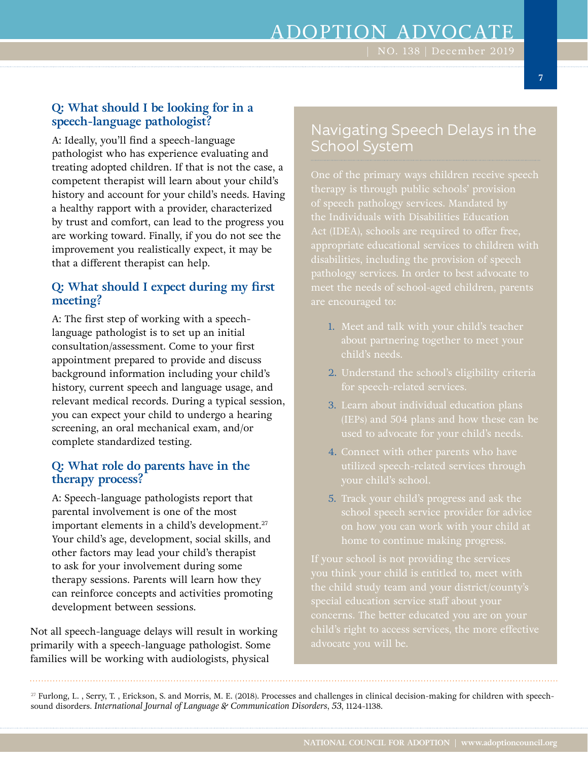## **Q: What should I be looking for in a speech-language pathologist?**

A: Ideally, you'll find a speech-language pathologist who has experience evaluating and treating adopted children. If that is not the case, a competent therapist will learn about your child's history and account for your child's needs. Having a healthy rapport with a provider, characterized by trust and comfort, can lead to the progress you are working toward. Finally, if you do not see the improvement you realistically expect, it may be that a different therapist can help.

## **Q: What should I expect during my first meeting?**

A: The first step of working with a speechlanguage pathologist is to set up an initial consultation/assessment. Come to your first appointment prepared to provide and discuss background information including your child's history, current speech and language usage, and relevant medical records. During a typical session, you can expect your child to undergo a hearing screening, an oral mechanical exam, and/or complete standardized testing.

## **Q: What role do parents have in the therapy process?**

A: Speech-language pathologists report that parental involvement is one of the most important elements in a child's development.<sup>27</sup> Your child's age, development, social skills, and other factors may lead your child's therapist to ask for your involvement during some therapy sessions. Parents will learn how they can reinforce concepts and activities promoting development between sessions.

Not all speech-language delays will result in working primarily with a speech-language pathologist. Some families will be working with audiologists, physical

# Navigating Speech Delays in the School System

meet the needs of school-aged children, parents

- 1. Meet and talk with your child's teacher child's needs.
- 2. Understand the school's eligibility criteria for speech-related services.
- 3. Learn about individual education plans
- 4. Connect with other parents who have
- 5. Track your child's progress and ask the

concerns. The better educated you are on your

27 Furlong, L. , Serry, T. , Erickson, S. and Morris, M. E. (2018). Processes and challenges in clinical decision-making for children with speechsound disorders. *International Journal of Language & Communication Disorders, 53*, 1124-1138.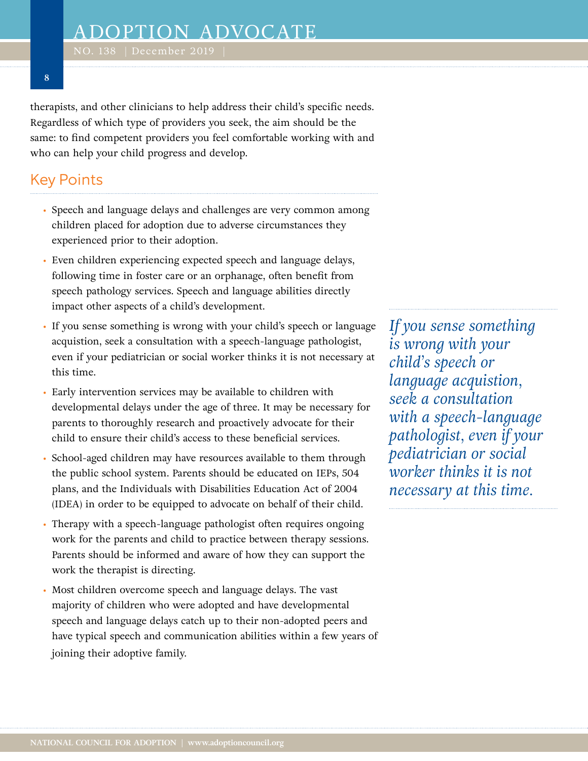NO. 138 | December 2019 |

**8**

therapists, and other clinicians to help address their child's specific needs. Regardless of which type of providers you seek, the aim should be the same: to find competent providers you feel comfortable working with and who can help your child progress and develop.

# Key Points

- Speech and language delays and challenges are very common among children placed for adoption due to adverse circumstances they experienced prior to their adoption.
- Even children experiencing expected speech and language delays, following time in foster care or an orphanage, often benefit from speech pathology services. Speech and language abilities directly impact other aspects of a child's development.
- If you sense something is wrong with your child's speech or language acquistion, seek a consultation with a speech-language pathologist, even if your pediatrician or social worker thinks it is not necessary at this time.
- Early intervention services may be available to children with developmental delays under the age of three. It may be necessary for parents to thoroughly research and proactively advocate for their child to ensure their child's access to these beneficial services.
- School-aged children may have resources available to them through the public school system. Parents should be educated on IEPs, 504 plans, and the Individuals with Disabilities Education Act of 2004 (IDEA) in order to be equipped to advocate on behalf of their child.
- Therapy with a speech-language pathologist often requires ongoing work for the parents and child to practice between therapy sessions. Parents should be informed and aware of how they can support the work the therapist is directing.
- Most children overcome speech and language delays. The vast majority of children who were adopted and have developmental speech and language delays catch up to their non-adopted peers and have typical speech and communication abilities within a few years of joining their adoptive family.

*If you sense something is wrong with your child's speech or language acquistion, seek a consultation with a speech-language pathologist, even if your pediatrician or social worker thinks it is not necessary at this time.*